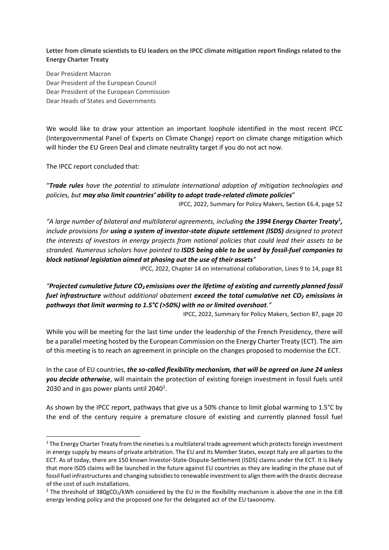**Letter from climate scientists to EU leaders on the IPCC climate mitigation report findings related to the Energy Charter Treaty**

Dear President Macron Dear President of the European Council Dear President of the European Commission Dear Heads of States and Governments

We would like to draw your attention an important loophole identified in the most recent IPCC (Intergovernmental Panel of Experts on Climate Change) report on climate change mitigation which will hinder the EU Green Deal and climate neutrality target if you do not act now.

The IPCC report concluded that:

"*Trade rules have the potential to stimulate international adoption of mitigation technologies and policies, but may also limit countries' ability to adopt trade-related climate policies*"

IPCC, 2022, Summary for Policy Makers, Section E6.4, page 52

*"A large number of bilateral and multilateral agreements, including the 1994 Energy Charter Treaty[1](#page-0-0) , include provisions for using a system of investor-state dispute settlement (ISDS) designed to protect the interests of investors in energy projects from national policies that could lead their assets to be stranded. Numerous scholars have pointed to ISDS being able to be used by fossil-fuel companies to block national legislation aimed at phasing out the use of their assets"* 

IPCC, 2022, Chapter 14 on international collaboration, Lines 9 to 14, page 81

*"*Projected cumulative future CO<sub>2</sub> emissions over the lifetime of existing and currently planned fossil *fuel infrastructure without additional abatement exceed the total cumulative net CO2 emissions in pathways that limit warming to 1.5°C (>50%) with no or limited overshoot."* 

IPCC, 2022, Summary for Policy Makers, Section B7, page 20

While you will be meeting for the last time under the leadership of the French Presidency, there will be a parallel meeting hosted by the European Commission on the Energy Charter Treaty (ECT). The aim of this meeting is to reach an agreement in principle on the changes proposed to modernise the ECT.

In the case of EU countries, *the so-called flexibility mechanism, that will be agreed on June 24 unless you decide otherwise*, will maintain the protection of existing foreign investment in fossil fuels until [2](#page-0-1)030 and in gas power plants until  $2040^2$ .

As shown by the IPCC report, pathways that give us a 50% chance to limit global warming to 1.5°C by the end of the century require a premature closure of existing and currently planned fossil fuel

<span id="page-0-0"></span> $1$  The Energy Charter Treaty from the nineties is a multilateral trade agreement which protects foreign investment in energy supply by means of private arbitration. The EU and its Member States, except Italy are all parties to the ECT. As of today, there are 150 known Investor-State-Dispute-Settlement (ISDS) claims under the ECT. It is likely that more ISDS claims will be launched in the future against EU countries as they are leading in the phase out of fossil fuel infrastructures and changing subsidies to renewable investment to align them with the drastic decrease of the cost of such installations.

<span id="page-0-1"></span><sup>&</sup>lt;sup>2</sup> The threshold of 380gCO<sub>2</sub>/kWh considered by the EU in the flexibility mechanism is above the one in the EiB energy lending policy and the proposed one for the delegated act of the EU taxonomy.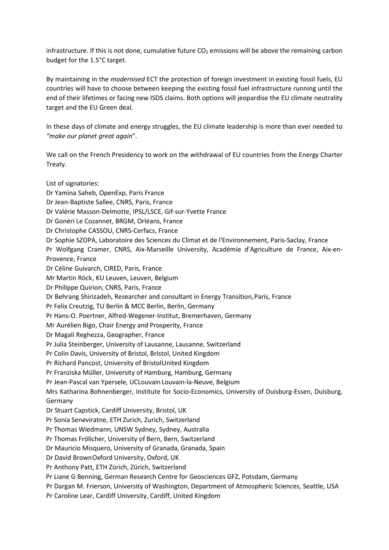infrastructure. If this is not done, cumulative future  $CO<sub>2</sub>$  emissions will be above the remaining carbon budget for the 1.5°C target.

By maintaining in the *modernised* ECT the protection of foreign investment in existing fossil fuels, EU countries will have to choose between keeping the existing fossil fuel infrastructure running until the end of their lifetimes or facing new ISDS claims. Both options will jeopardise the EU climate neutrality target and the EU Green deal.

In these days of climate and energy struggles, the EU climate leadership is more than ever needed to *"make our planet great again*".

We call on the French Presidency to work on the withdrawal of EU countries from the Energy Charter Treaty.

List of signatories: Dr Yamina Saheb, OpenExp, Paris France Dr Jean-Baptiste Sallee, CNRS, Paris, France Dr Valérie Masson-Delmotte, IPSL/LSCE, Gif-sur-Yvette France Dr Gonéri Le Cozannet, BRGM, Orléans, France Dr Christophe CASSOU, CNRS-Cerfacs, France Dr Sophie SZOPA, Laboratoire des Sciences du Climat et de l'Environnement, Paris-Saclay, France Pr Wolfgang Cramer, CNRS, Aix-Marseille University, Académie d'Agriculture de France, Aix-en-Provence, France Dr Céline Guivarch, CIRED, Paris, France Mr Martin Röck, KU Leuven, Leuven, Belgium Dr Philippe Quirion, CNRS, Paris, France Dr Behrang Shirizadeh, Researcher and consultant in Energy Transition,Paris, France Pr Felix Creutzig, TU Berlin & MCC Berlin, Berlin, Germany Pr Hans-O. Poertner, Alfred-Wegener-Institut, Bremerhaven, Germany Mr Aurélien Bigo, Chair Energy and Prosperity, France Dr Magali Reghezza, Geographer, France Pr Julia Steinberger, University of Lausanne, Lausanne, Switzerland Pr Colin Davis, University of Bristol, Bristol, United Kingdom Pr Richard Pancost, University of BristolUnited Kingdom Pr Franziska Müller, University of Hamburg, Hamburg, Germany Pr Jean-Pascal van Ypersele, UCLouvain Louvain-la-Neuve, Belgium Mrs Katharina Bohnenberger, Institute for Socio-Economics, University of Duisburg-Essen, Duisburg, Germany Dr Stuart Capstick, Cardiff University, Bristol, UK Pr Sonia Seneviratne, ETH Zurich, Zurich, Switzerland Pr Thomas Wiedmann, UNSW Sydney, Sydney, Australia Pr Thomas Frölicher, University of Bern, Bern, Switzerland Dr Mauricio Misquero, University of Granada, Granada, Spain Dr David BrownOxford University, Oxford, UK Pr Anthony Patt, ETH Zürich, Zürich, Switzerland Pr Liane G Benning, German Research Centre for Geosciences GFZ, Potsdam, Germany Pr Dargan M. Frierson, University of Washington, Department of Atmospheric Sciences, Seattle, USA Pr Caroline Lear, Cardiff University, Cardiff, United Kingdom